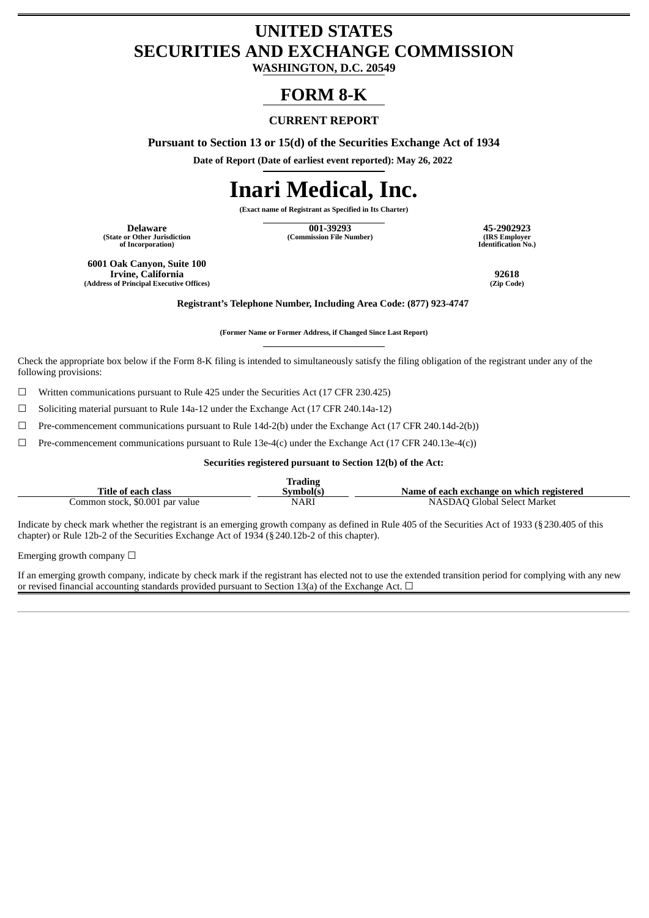## **UNITED STATES SECURITIES AND EXCHANGE COMMISSION**

**WASHINGTON, D.C. 20549**

### **FORM 8-K**

### **CURRENT REPORT**

**Pursuant to Section 13 or 15(d) of the Securities Exchange Act of 1934**

**Date of Report (Date of earliest event reported): May 26, 2022**

# **Inari Medical, Inc.**

**(Exact name of Registrant as Specified in Its Charter)**

**(State or Other Jurisdiction of Incorporation)**

**Delaware 001-39293 45-2902923 (Commission File Number) (IRS Employer**

**Identification No.)**

**6001 Oak Canyon, Suite 100 Irvine, California 92618 (Address of Principal Executive Offices) (Zip Code)**

**Registrant's Telephone Number, Including Area Code: (877) 923-4747**

**(Former Name or Former Address, if Changed Since Last Report)**

Check the appropriate box below if the Form 8-K filing is intended to simultaneously satisfy the filing obligation of the registrant under any of the following provisions:

 $\Box$  Written communications pursuant to Rule 425 under the Securities Act (17 CFR 230.425)

☐ Soliciting material pursuant to Rule 14a-12 under the Exchange Act (17 CFR 240.14a-12)

 $\Box$  Pre-commencement communications pursuant to Rule 14d-2(b) under the Exchange Act (17 CFR 240.14d-2(b))

 $\Box$  Pre-commencement communications pursuant to Rule 13e-4(c) under the Exchange Act (17 CFR 240.13e-4(c))

**Securities registered pursuant to Section 12(b) of the Act:**

|                                 | <b>Trading</b> |                                           |
|---------------------------------|----------------|-------------------------------------------|
| Title of each class             | Symbol(s)      | Name of each exchange on which registered |
| Common stock, \$0.001 par value | <b>NARI</b>    | NASDAO Global Select Market               |

Indicate by check mark whether the registrant is an emerging growth company as defined in Rule 405 of the Securities Act of 1933 (§230.405 of this chapter) or Rule 12b-2 of the Securities Exchange Act of 1934 (§240.12b-2 of this chapter).

Emerging growth company  $\Box$ 

If an emerging growth company, indicate by check mark if the registrant has elected not to use the extended transition period for complying with any new or revised financial accounting standards provided pursuant to Section 13(a) of the Exchange Act.  $\Box$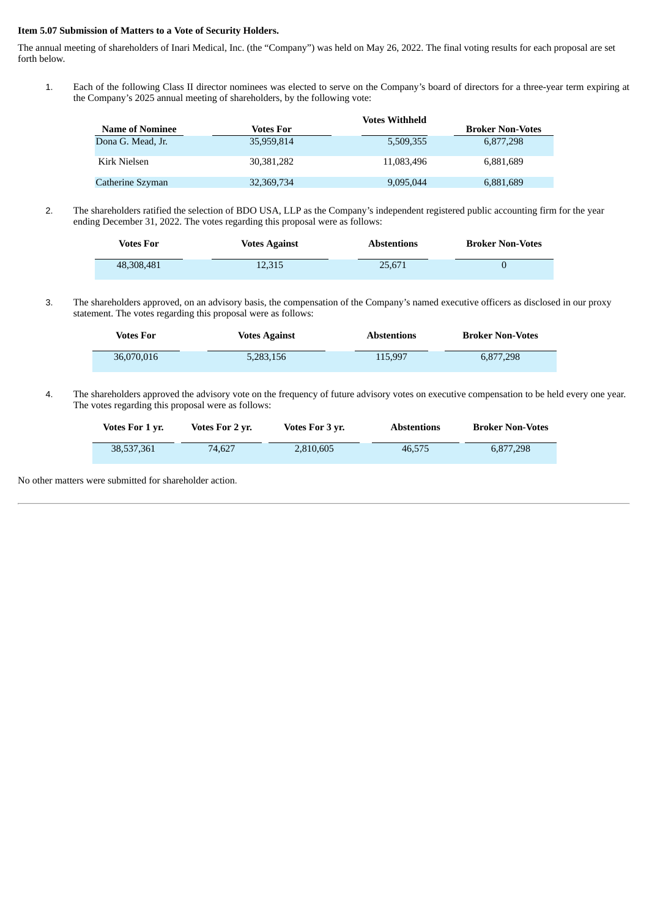#### **Item 5.07 Submission of Matters to a Vote of Security Holders.**

The annual meeting of shareholders of Inari Medical, Inc. (the "Company") was held on May 26, 2022. The final voting results for each proposal are set forth below.

1. Each of the following Class II director nominees was elected to serve on the Company's board of directors for a three-year term expiring at the Company's 2025 annual meeting of shareholders, by the following vote:

|                        |            | <b>Votes Withheld</b> |                         |
|------------------------|------------|-----------------------|-------------------------|
| <b>Name of Nominee</b> | Votes For  |                       | <b>Broker Non-Votes</b> |
| Dona G. Mead, Jr.      | 35,959,814 | 5,509,355             | 6,877,298               |
| Kirk Nielsen           | 30.381.282 | 11.083.496            | 6.881.689               |
| Catherine Szyman       | 32,369,734 | 9,095,044             | 6,881,689               |

2. The shareholders ratified the selection of BDO USA, LLP as the Company's independent registered public accounting firm for the year ending December 31, 2022. The votes regarding this proposal were as follows:

| Votes For  | <b>Votes Against</b> | <b>Abstentions</b> | <b>Broker Non-Votes</b> |
|------------|----------------------|--------------------|-------------------------|
| 48,308,481 | 12.315               | 25.671             |                         |

3. The shareholders approved, on an advisory basis, the compensation of the Company's named executive officers as disclosed in our proxy statement. The votes regarding this proposal were as follows:

| <b>Votes For</b> | <b>Votes Against</b> | <b>Abstentions</b> | <b>Broker Non-Votes</b> |
|------------------|----------------------|--------------------|-------------------------|
| 36.070.016       | 5,283,156            | 115.997            | 6,877,298               |

4. The shareholders approved the advisory vote on the frequency of future advisory votes on executive compensation to be held every one year. The votes regarding this proposal were as follows:

| Votes For 1 vr. | Votes For 2 yr. | Votes For 3 yr. | <b>Abstentions</b> | <b>Broker Non-Votes</b> |
|-----------------|-----------------|-----------------|--------------------|-------------------------|
| 38,537,361      | 74.627          | 2.810.605       | 46.575             | 6.877.298               |

No other matters were submitted for shareholder action.